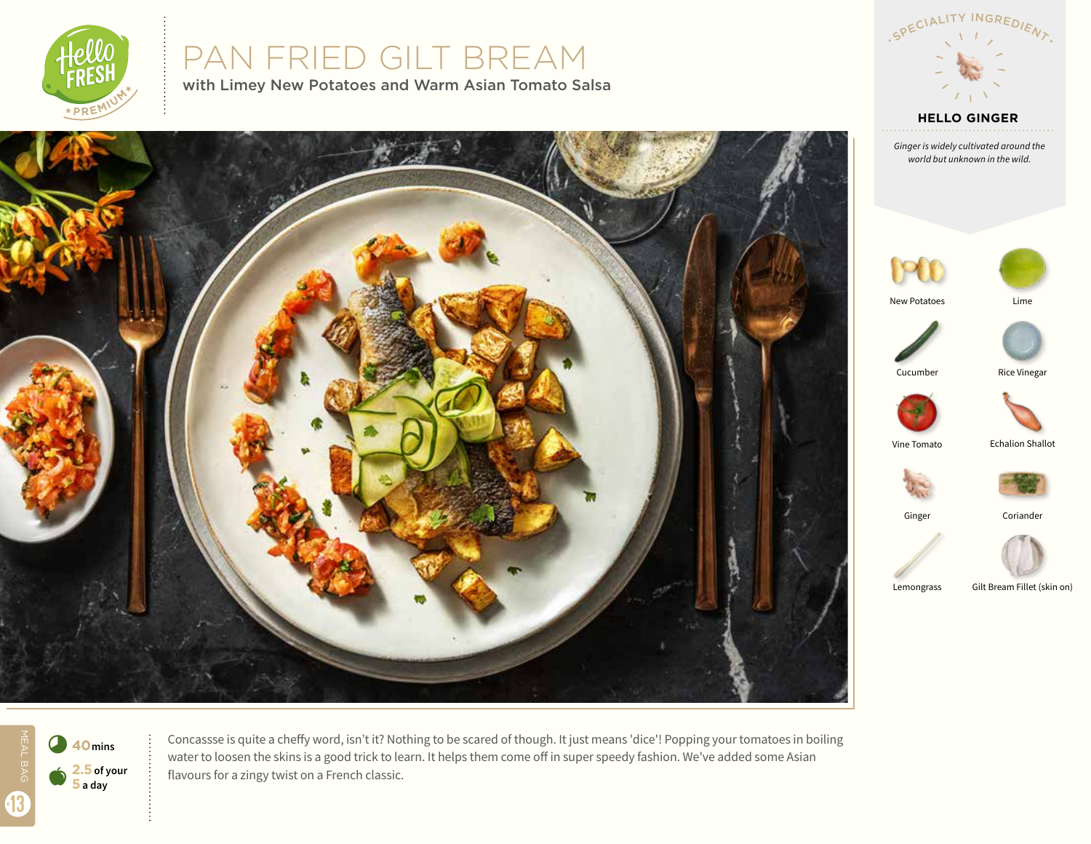

# PAN FRIED GILT BREAM

with Limey New Potatoes and Warm Asian Tomato Salsa



*Ginger is widely cultivated around the world but unknown in the wild.*





New Potatoes Lime









Vine Tomato Echalion Shallot



Coriander



Ginger

Lemongrass Gilt Bream Fillet (skin on)



Concassse is quite a cheffy word, isn't it? Nothing to be scared of though. It just means 'dice'! Popping your tomatoes in boiling water to loosen the skins is a good trick to learn. It helps them come off in super speedy fashion. We've added some Asian flavours for a zingy twist on a French classic.